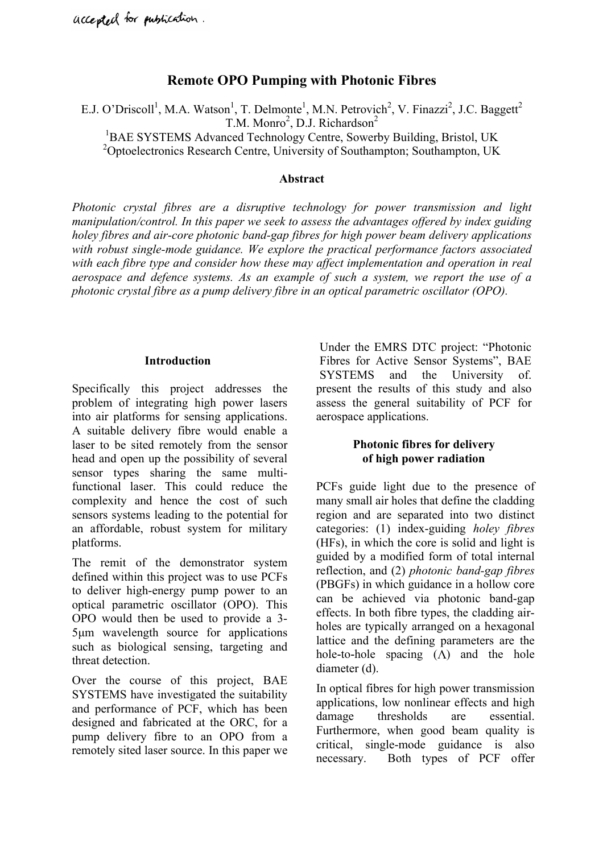# **Remote OPO Pumping with Photonic Fibres**

E.J. O'Driscoll<sup>1</sup>, M.A. Watson<sup>1</sup>, T. Delmonte<sup>1</sup>, M.N. Petrovich<sup>2</sup>, V. Finazzi<sup>2</sup>, J.C. Baggett<sup>2</sup>  $T.M. Monro<sup>2</sup>, D.J. Richardson<sup>2</sup>$ <sup>1</sup>BAE SYSTEMS Advanced Technology Centre, Sowerby Building, Bristol, UK <sup>2</sup>Optoelectronics Research Centre, University of Southampton; Southampton, UK

#### **Abstract**

*Photonic crystal fibres are a disruptive technology for power transmission and light manipulation/control. In this paper we seek to assess the advantages offered by index guiding holey fibres and air-core photonic band-gap fibres for high power beam delivery applications with robust single-mode guidance. We explore the practical performance factors associated with each fibre type and consider how these may affect implementation and operation in real aerospace and defence systems. As an example of such a system, we report the use of a photonic crystal fibre as a pump delivery fibre in an optical parametric oscillator (OPO).*

#### **Introduction**

Specifically this project addresses the problem of integrating high power lasers into air platforms for sensing applications. A suitable delivery fibre would enable a laser to be sited remotely from the sensor head and open up the possibility of several sensor types sharing the same multifunctional laser. This could reduce the complexity and hence the cost of such sensors systems leading to the potential for an affordable, robust system for military platforms.

The remit of the demonstrator system defined within this project was to use PCFs to deliver high-energy pump power to an optical parametric oscillator (OPO). This OPO would then be used to provide a 3- 5µm wavelength source for applications such as biological sensing, targeting and threat detection.

Over the course of this project, BAE SYSTEMS have investigated the suitability and performance of PCF, which has been designed and fabricated at the ORC, for a pump delivery fibre to an OPO from a remotely sited laser source. In this paper we

Under the EMRS DTC project: "Photonic Fibres for Active Sensor Systems", BAE SYSTEMS and the University of. present the results of this study and also assess the general suitability of PCF for aerospace applications.

### **Photonic fibres for delivery of high power radiation**

PCFs guide light due to the presence of many small air holes that define the cladding region and are separated into two distinct categories: (1) index-guiding *holey fibres* (HFs), in which the core is solid and light is guided by a modified form of total internal reflection, and (2) *photonic band-gap fibres* (PBGFs) in which guidance in a hollow core can be achieved via photonic band-gap effects. In both fibre types, the cladding airholes are typically arranged on a hexagonal lattice and the defining parameters are the hole-to-hole spacing  $(\Lambda)$  and the hole diameter (d).

In optical fibres for high power transmission applications, low nonlinear effects and high damage thresholds are essential. Furthermore, when good beam quality is critical, single-mode guidance is also necessary. Both types of PCF offer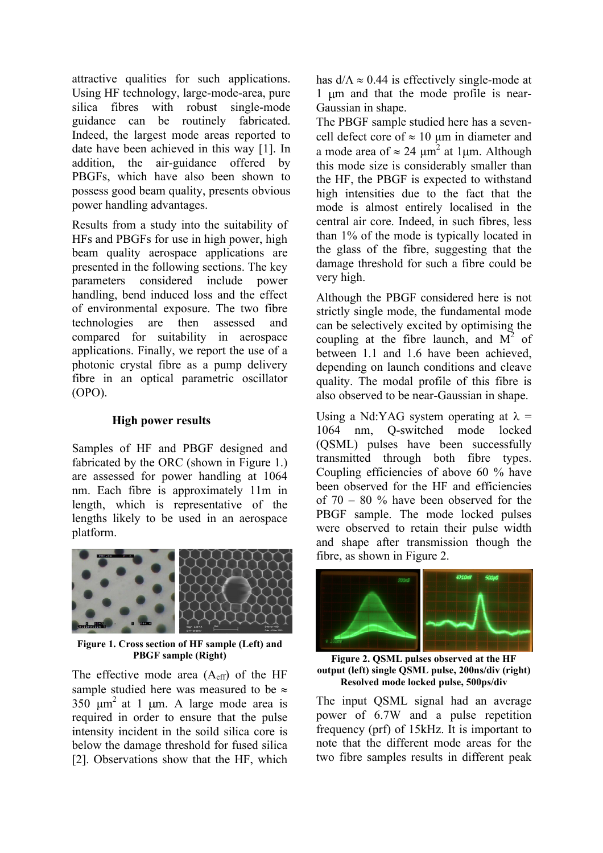attractive qualities for such applications. Using HF technology, large-mode-area, pure silica fibres with robust single-mode guidance can be routinely fabricated. Indeed, the largest mode areas reported to date have been achieved in this way [1]. In addition, the air-guidance offered by PBGFs, which have also been shown to possess good beam quality, presents obvious power handling advantages.

Results from a study into the suitability of HFs and PBGFs for use in high power, high beam quality aerospace applications are presented in the following sections. The key parameters considered include power handling, bend induced loss and the effect of environmental exposure. The two fibre technologies are then assessed and compared for suitability in aerospace applications. Finally, we report the use of a photonic crystal fibre as a pump delivery fibre in an optical parametric oscillator (OPO).

## **High power results**

Samples of HF and PBGF designed and fabricated by the ORC (shown in Figure 1.) are assessed for power handling at 1064 nm. Each fibre is approximately 11m in length, which is representative of the lengths likely to be used in an aerospace platform.



**Figure 1. Cross section of HF sample (Left) and PBGF sample (Right)**

The effective mode area  $(A<sub>eff</sub>)$  of the HF sample studied here was measured to be  $\approx$  $350 \text{ }\mu\text{m}^2$  at 1  $\mu$ m. A large mode area is required in order to ensure that the pulse intensity incident in the soild silica core is below the damage threshold for fused silica [2]. Observations show that the HF, which

has  $d/\Lambda \approx 0.44$  is effectively single-mode at 1 µm and that the mode profile is near-Gaussian in shape.

The PBGF sample studied here has a sevencell defect core of  $\approx 10 \mu m$  in diameter and a mode area of  $\approx 24 \mu m^2$  at 1 $\mu$ m. Although this mode size is considerably smaller than the HF, the PBGF is expected to withstand high intensities due to the fact that the mode is almost entirely localised in the central air core. Indeed, in such fibres, less than 1% of the mode is typically located in the glass of the fibre, suggesting that the damage threshold for such a fibre could be very high.

Although the PBGF considered here is not strictly single mode, the fundamental mode can be selectively excited by optimising the coupling at the fibre launch, and  $M^2$  of between 1.1 and 1.6 have been achieved, depending on launch conditions and cleave quality. The modal profile of this fibre is also observed to be near-Gaussian in shape.

Using a Nd:YAG system operating at  $\lambda$  = 1064 nm, Q-switched mode locked (QSML) pulses have been successfully transmitted through both fibre types. Coupling efficiencies of above 60 % have been observed for the HF and efficiencies of  $70 - 80$  % have been observed for the PBGF sample. The mode locked pulses were observed to retain their pulse width and shape after transmission though the fibre, as shown in Figure 2.



**Figure 2. QSML pulses observed at the HF output (left) single QSML pulse, 200ns/div (right) Resolved mode locked pulse, 500ps/div**

The input QSML signal had an average power of 6.7W and a pulse repetition frequency (prf) of 15kHz. It is important to note that the different mode areas for the two fibre samples results in different peak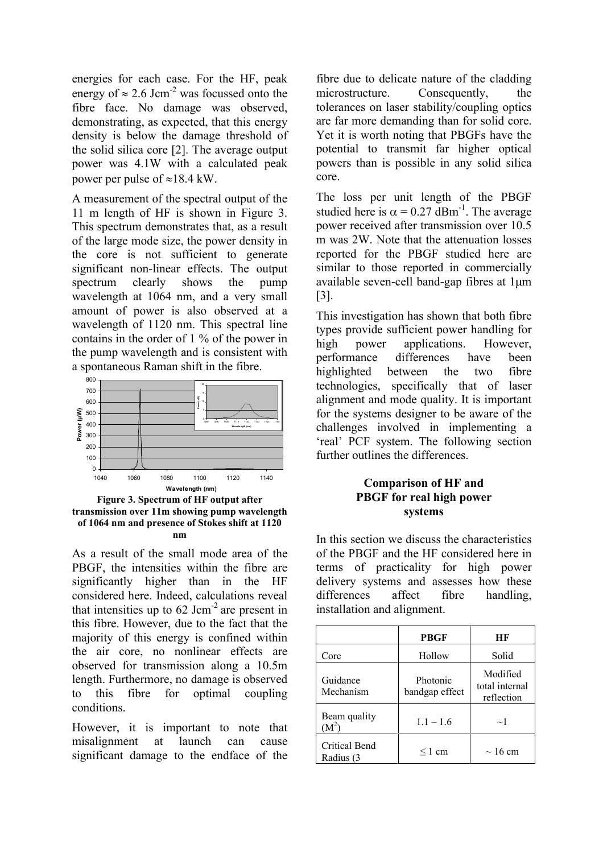energies for each case. For the HF, peak energy of  $\approx 2.6$  Jcm<sup>-2</sup> was focussed onto the fibre face. No damage was observed, demonstrating, as expected, that this energy density is below the damage threshold of the solid silica core [2]. The average output power was 4.1W with a calculated peak power per pulse of  $\approx 18.4$  kW.

A measurement of the spectral output of the 11 m length of HF is shown in Figure 3. This spectrum demonstrates that, as a result of the large mode size, the power density in the core is not sufficient to generate significant non-linear effects. The output spectrum clearly shows the pump wavelength at 1064 nm, and a very small amount of power is also observed at a wavelength of 1120 nm. This spectral line contains in the order of 1 % of the power in the pump wavelength and is consistent with a spontaneous Raman shift in the fibre.



**Figure 3. Spectrum of HF output after transmission over 11m showing pump wavelength of 1064 nm and presence of Stokes shift at 1120 nm**

As a result of the small mode area of the PBGF, the intensities within the fibre are significantly higher than in the HF considered here. Indeed, calculations reveal that intensities up to  $62 \text{ Jcm}^2$  are present in this fibre. However, due to the fact that the majority of this energy is confined within the air core, no nonlinear effects are observed for transmission along a 10.5m length. Furthermore, no damage is observed to this fibre for optimal coupling conditions.

However, it is important to note that misalignment at launch can cause significant damage to the endface of the

fibre due to delicate nature of the cladding microstructure. Consequently, the tolerances on laser stability/coupling optics are far more demanding than for solid core. Yet it is worth noting that PBGFs have the potential to transmit far higher optical powers than is possible in any solid silica core.

The loss per unit length of the PBGF studied here is  $\alpha = 0.27$  dBm<sup>-1</sup>. The average power received after transmission over 10.5 m was 2W. Note that the attenuation losses reported for the PBGF studied here are similar to those reported in commercially available seven-cell band-gap fibres at 1µm [3].

This investigation has shown that both fibre types provide sufficient power handling for high power applications. However, performance differences have been highlighted between the two fibre technologies, specifically that of laser alignment and mode quality. It is important for the systems designer to be aware of the challenges involved in implementing a 'real' PCF system. The following section further outlines the differences.

### **Comparison of HF and PBGF for real high power systems**

In this section we discuss the characteristics of the PBGF and the HF considered here in terms of practicality for high power delivery systems and assesses how these differences affect fibre handling, installation and alignment.

|                                   | PBGF                       | НF                                       |
|-----------------------------------|----------------------------|------------------------------------------|
| Core                              | Hollow                     | Solid                                    |
| Guidance<br>Mechanism             | Photonic<br>bandgap effect | Modified<br>total internal<br>reflection |
| Beam quality<br>$\mathrm{M}^2$ `  | $1.1 - 1.6$                | $\sim$ 1                                 |
| <b>Critical Bend</b><br>Radius (3 | $\leq 1$ cm                | $\sim$ 16 cm                             |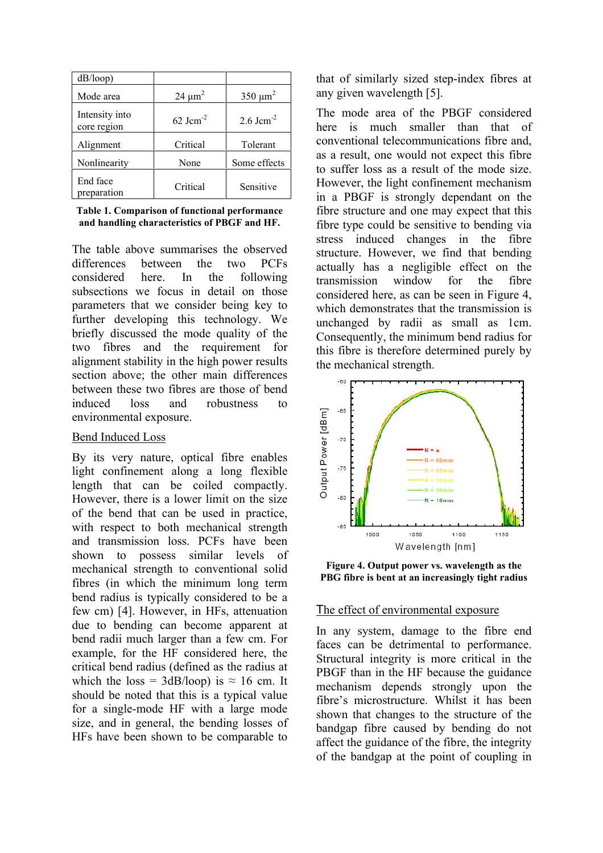| dB/loop)                      |                |                       |
|-------------------------------|----------------|-----------------------|
| Mode area                     | $24 \mu m^2$   | $350 \mu m^2$         |
| Intensity into<br>core region | 62 Jc $m^{-2}$ | 2.6 Jcm <sup>-2</sup> |
| Alignment                     | Critical       | Tolerant              |
| Nonlinearity                  | None           | Some effects          |
| End face<br>preparation       | Critical       | Sensitive             |

**Table 1. Comparison of functional performance and handling characteristics of PBGF and HF.**

The table above summarises the observed differences between the two PCFs considered here. In the following subsections we focus in detail on those parameters that we consider being key to further developing this technology. We briefly discussed the mode quality of the two fibres and the requirement for alignment stability in the high power results section above; the other main differences between these two fibres are those of bend induced loss and robustness to environmental exposure.

#### Bend Induced Loss

By its very nature, optical fibre enables light confinement along a long flexible length that can be coiled compactly. However, there is a lower limit on the size of the bend that can be used in practice, with respect to both mechanical strength and transmission loss. PCFs have been shown to possess similar levels of mechanical strength to conventional solid fibres (in which the minimum long term bend radius is typically considered to be a few cm) [4]. However, in HFs, attenuation due to bending can become apparent at bend radii much larger than a few cm. For example, for the HF considered here, the critical bend radius (defined as the radius at which the loss =  $3dB/loop$ ) is  $\approx 16$  cm. It should be noted that this is a typical value for a single-mode HF with a large mode size, and in general, the bending losses of HFs have been shown to be comparable to

that of similarly sized step-index fibres at any given wavelength [5].

The mode area of the PBGF considered here is much smaller than that of conventional telecommunications fibre and, as a result, one would not expect this fibre to suffer loss as a result of the mode size. However, the light confinement mechanism in a PBGF is strongly dependant on the fibre structure and one may expect that this fibre type could be sensitive to bending via stress induced changes in the fibre structure. However, we find that bending actually has a negligible effect on the transmission window for the fibre considered here, as can be seen in Figure 4, which demonstrates that the transmission is unchanged by radii as small as 1cm. Consequently, the minimum bend radius for this fibre is therefore determined purely by the mechanical strength.



**Figure 4. Output power vs. wavelength as the PBG fibre is bent at an increasingly tight radius**

#### The effect of environmental exposure

In any system, damage to the fibre end faces can be detrimental to performance. Structural integrity is more critical in the PBGF than in the HF because the guidance mechanism depends strongly upon the fibre's microstructure. Whilst it has been shown that changes to the structure of the bandgap fibre caused by bending do not affect the guidance of the fibre, the integrity of the bandgap at the point of coupling in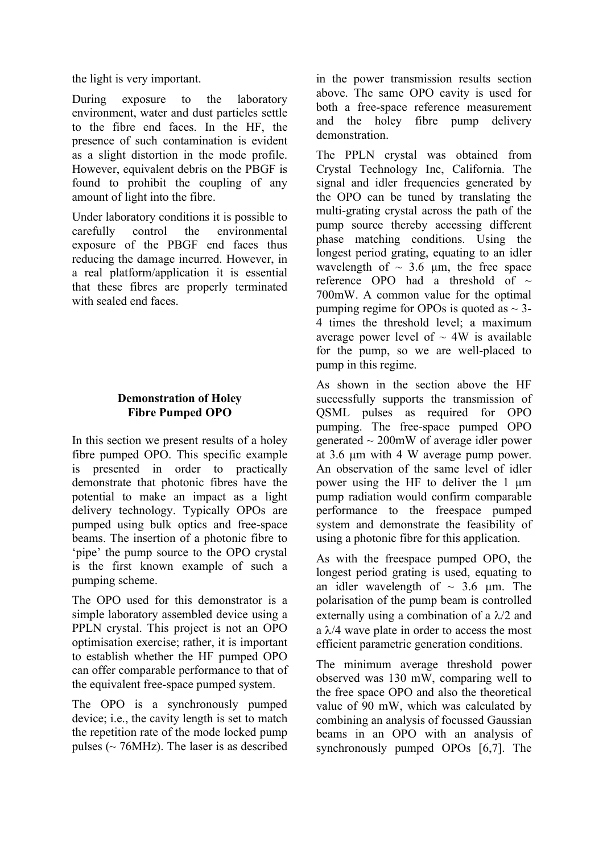the light is very important.

During exposure to the laboratory environment, water and dust particles settle to the fibre end faces. In the HF, the presence of such contamination is evident as a slight distortion in the mode profile. However, equivalent debris on the PBGF is found to prohibit the coupling of any amount of light into the fibre.

Under laboratory conditions it is possible to carefully control the environmental exposure of the PBGF end faces thus reducing the damage incurred. However, in a real platform/application it is essential that these fibres are properly terminated with sealed end faces.

# **Demonstration of Holey Fibre Pumped OPO**

In this section we present results of a holey fibre pumped OPO. This specific example is presented in order to practically demonstrate that photonic fibres have the potential to make an impact as a light delivery technology. Typically OPOs are pumped using bulk optics and free-space beams. The insertion of a photonic fibre to 'pipe' the pump source to the OPO crystal is the first known example of such a pumping scheme.

The OPO used for this demonstrator is a simple laboratory assembled device using a PPLN crystal. This project is not an OPO optimisation exercise; rather, it is important to establish whether the HF pumped OPO can offer comparable performance to that of the equivalent free-space pumped system.

The OPO is a synchronously pumped device; i.e., the cavity length is set to match the repetition rate of the mode locked pump pulses ( $\sim$  76MHz). The laser is as described in the power transmission results section above. The same OPO cavity is used for both a free-space reference measurement and the holey fibre pump delivery demonstration.

The PPLN crystal was obtained from Crystal Technology Inc, California. The signal and idler frequencies generated by the OPO can be tuned by translating the multi-grating crystal across the path of the pump source thereby accessing different phase matching conditions. Using the longest period grating, equating to an idler wavelength of  $\sim$  3.6 µm, the free space reference OPO had a threshold of  $\sim$ 700mW. A common value for the optimal pumping regime for OPOs is quoted as  $\sim$  3-4 times the threshold level; a maximum average power level of  $\sim 4W$  is available for the pump, so we are well-placed to pump in this regime.

As shown in the section above the HF successfully supports the transmission of QSML pulses as required for OPO pumping. The free-space pumped OPO generated  $\sim$  200mW of average idler power at 3.6 µm with 4 W average pump power. An observation of the same level of idler power using the HF to deliver the 1 um pump radiation would confirm comparable performance to the freespace pumped system and demonstrate the feasibility of using a photonic fibre for this application.

As with the freespace pumped OPO, the longest period grating is used, equating to an idler wavelength of  $\sim$  3.6 µm. The polarisation of the pump beam is controlled externally using a combination of a  $\lambda/2$  and a  $\lambda$ /4 wave plate in order to access the most efficient parametric generation conditions.

The minimum average threshold power observed was 130 mW, comparing well to the free space OPO and also the theoretical value of 90 mW, which was calculated by combining an analysis of focussed Gaussian beams in an OPO with an analysis of synchronously pumped OPOs [6,7]. The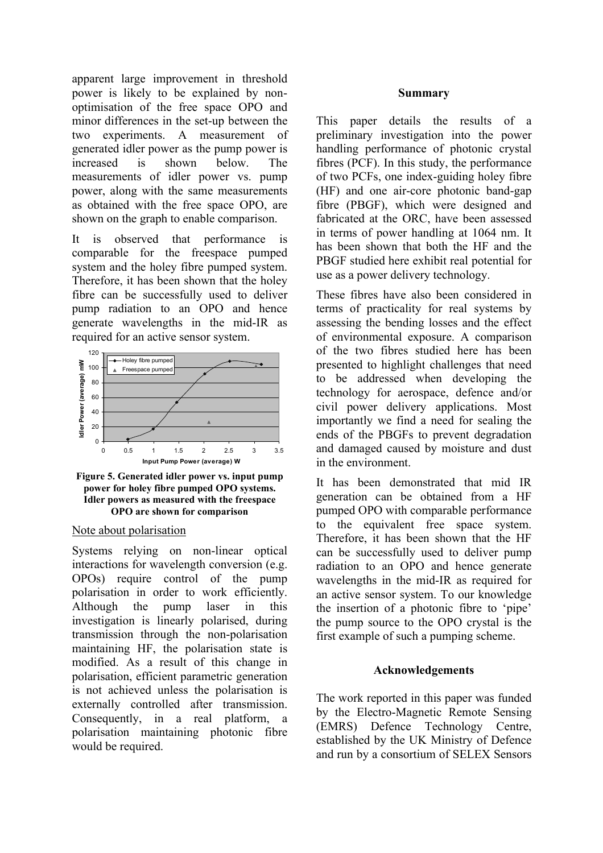apparent large improvement in threshold power is likely to be explained by nonoptimisation of the free space OPO and minor differences in the set-up between the two experiments. A measurement of generated idler power as the pump power is increased is shown below. The measurements of idler power vs. pump power, along with the same measurements as obtained with the free space OPO, are shown on the graph to enable comparison.

It is observed that performance is comparable for the freespace pumped system and the holey fibre pumped system. Therefore, it has been shown that the holey fibre can be successfully used to deliver pump radiation to an OPO and hence generate wavelengths in the mid-IR as required for an active sensor system.



**Figure 5. Generated idler power vs. input pump power for holey fibre pumped OPO systems. Idler powers as measured with the freespace OPO are shown for comparison**

#### Note about polarisation

Systems relying on non-linear optical interactions for wavelength conversion (e.g. OPOs) require control of the pump polarisation in order to work efficiently. Although the pump laser in this investigation is linearly polarised, during transmission through the non-polarisation maintaining HF, the polarisation state is modified. As a result of this change in polarisation, efficient parametric generation is not achieved unless the polarisation is externally controlled after transmission. Consequently, in a real platform, a polarisation maintaining photonic fibre would be required.

#### **Summary**

This paper details the results of a preliminary investigation into the power handling performance of photonic crystal fibres (PCF). In this study, the performance of two PCFs, one index-guiding holey fibre (HF) and one air-core photonic band-gap fibre (PBGF), which were designed and fabricated at the ORC, have been assessed in terms of power handling at 1064 nm. It has been shown that both the HF and the PBGF studied here exhibit real potential for use as a power delivery technology.

These fibres have also been considered in terms of practicality for real systems by assessing the bending losses and the effect of environmental exposure. A comparison of the two fibres studied here has been presented to highlight challenges that need to be addressed when developing the technology for aerospace, defence and/or civil power delivery applications. Most importantly we find a need for sealing the ends of the PBGFs to prevent degradation and damaged caused by moisture and dust in the environment.

It has been demonstrated that mid IR generation can be obtained from a HF pumped OPO with comparable performance to the equivalent free space system. Therefore, it has been shown that the HF can be successfully used to deliver pump radiation to an OPO and hence generate wavelengths in the mid-IR as required for an active sensor system. To our knowledge the insertion of a photonic fibre to 'pipe' the pump source to the OPO crystal is the first example of such a pumping scheme.

#### **Acknowledgements**

The work reported in this paper was funded by the Electro-Magnetic Remote Sensing (EMRS) Defence Technology Centre, established by the UK Ministry of Defence and run by a consortium of SELEX Sensors